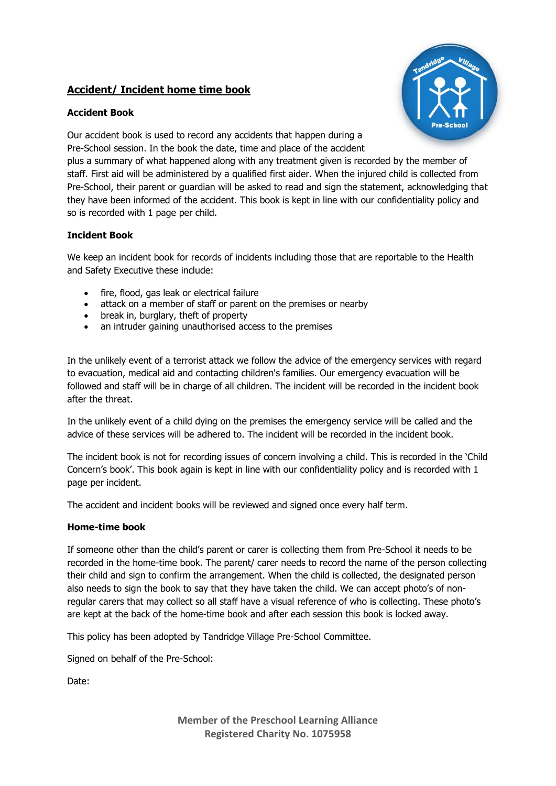## **Accident/ Incident home time book**

## **Accident Book**



Our accident book is used to record any accidents that happen during a Pre-School session. In the book the date, time and place of the accident

plus a summary of what happened along with any treatment given is recorded by the member of staff. First aid will be administered by a qualified first aider. When the injured child is collected from Pre-School, their parent or guardian will be asked to read and sign the statement, acknowledging that they have been informed of the accident. This book is kept in line with our confidentiality policy and so is recorded with 1 page per child.

## **Incident Book**

We keep an incident book for records of incidents including those that are reportable to the Health and Safety Executive these include:

- fire, flood, gas leak or electrical failure
- attack on a member of staff or parent on the premises or nearby
- break in, burglary, theft of property
- an intruder gaining unauthorised access to the premises

In the unlikely event of a terrorist attack we follow the advice of the emergency services with regard to evacuation, medical aid and contacting children's families. Our emergency evacuation will be followed and staff will be in charge of all children. The incident will be recorded in the incident book after the threat.

In the unlikely event of a child dying on the premises the emergency service will be called and the advice of these services will be adhered to. The incident will be recorded in the incident book.

The incident book is not for recording issues of concern involving a child. This is recorded in the 'Child Concern's book'. This book again is kept in line with our confidentiality policy and is recorded with 1 page per incident.

The accident and incident books will be reviewed and signed once every half term.

## **Home-time book**

If someone other than the child's parent or carer is collecting them from Pre-School it needs to be recorded in the home-time book. The parent/ carer needs to record the name of the person collecting their child and sign to confirm the arrangement. When the child is collected, the designated person also needs to sign the book to say that they have taken the child. We can accept photo's of nonregular carers that may collect so all staff have a visual reference of who is collecting. These photo's are kept at the back of the home-time book and after each session this book is locked away.

This policy has been adopted by Tandridge Village Pre-School Committee.

Signed on behalf of the Pre-School:

Date:

**Member of the Preschool Learning Alliance Registered Charity No. 1075958**